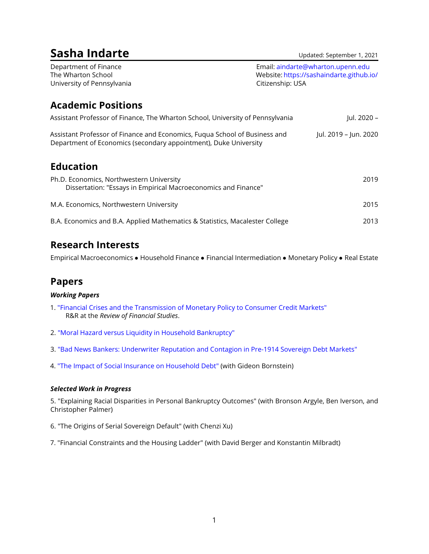| Sasha Indarte                                                                                                                                  |                                                                                                   | Updated: September 1, 2021 |
|------------------------------------------------------------------------------------------------------------------------------------------------|---------------------------------------------------------------------------------------------------|----------------------------|
| Department of Finance<br>The Wharton School<br>University of Pennsylvania                                                                      | Email: aindarte@wharton.upenn.edu<br>Website: https://sashaindarte.github.io/<br>Citizenship: USA |                            |
| <b>Academic Positions</b>                                                                                                                      |                                                                                                   |                            |
| Assistant Professor of Finance, The Wharton School, University of Pennsylvania                                                                 |                                                                                                   | Jul. 2020 –                |
| Assistant Professor of Finance and Economics, Fuqua School of Business and<br>Department of Economics (secondary appointment), Duke University |                                                                                                   | Jul. 2019 – Jun. 2020      |
| <b>Education</b>                                                                                                                               |                                                                                                   |                            |
| Ph.D. Economics, Northwestern University<br>Dissertation: "Essays in Empirical Macroeconomics and Finance"                                     |                                                                                                   | 2019                       |
| M.A. Economics, Northwestern University                                                                                                        |                                                                                                   | 2015                       |
| B.A. Economics and B.A. Applied Mathematics & Statistics, Macalester College                                                                   |                                                                                                   | 2013                       |

# **Research Interests**

Empirical Macroeconomics • Household Finance • Financial Intermediation • Monetary Policy • Real Estate

# **Papers**

### *Working Papers*

- 1. ["Financial Crises and the Transmission of Monetary Policy to Consumer Credit Markets"](https://sashaindarte.github.io/research/si_crises_monetary_policy.pdf) R&R at the *Review of Financial Studies*.
- 2. ["Moral Hazard versus Liquidity in Household Bankruptcy"](https://sashaindarte.github.io/research/si_bk_2020.pdf)
- 3. ["Bad News Bankers: Underwriter Reputation and Contagion in Pre-1914 Sovereign Debt Markets"](https://sashaindarte.github.io/research/bad_news_bankers_SI.pdf)
- 4. ["The Impact of Social Insurance on Household Debt"](https://sashaindarte.github.io/research/BI_social_ins_debt.pdf) (with Gideon Bornstein)

## *Selected Work in Progress*

5. "Explaining Racial Disparities in Personal Bankruptcy Outcomes" (with Bronson Argyle, Ben Iverson, and Christopher Palmer)

- 6. "The Origins of Serial Sovereign Default" (with Chenzi Xu)
- 7. "Financial Constraints and the Housing Ladder" (with David Berger and Konstantin Milbradt)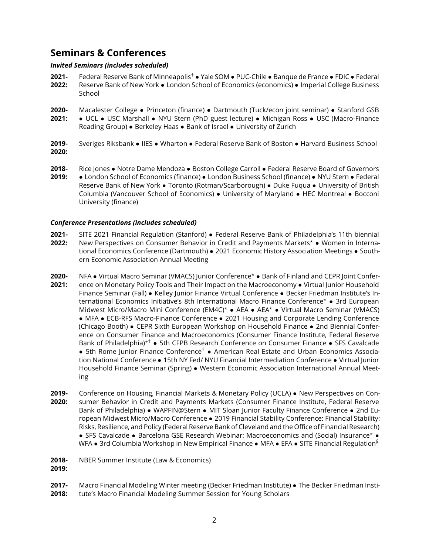# **Seminars & Conferences**

### *Invited Seminars (includes scheduled)*

- **2021-** Federal Reserve Bank of Minneapolis† • Yale SOM • PUC-Chile • Banque de France • FDIC • Federal
- **2022:** Reserve Bank of New York • London School of Economics (economics) • Imperial College Business School
- **2020-** Macalester College • Princeton (finance) • Dartmouth (Tuck/econ joint seminar) • Stanford GSB
- **2021:** • UCL • USC Marshall • NYU Stern (PhD guest lecture) • Michigan Ross • USC (Macro-Finance Reading Group) • Berkeley Haas • Bank of Israel • University of Zurich
- **2019- 2020:** Sveriges Riksbank • IIES • Wharton • Federal Reserve Bank of Boston • Harvard Business School
- **2018- 2019:** Rice Jones • Notre Dame Mendoza • Boston College Carroll • Federal Reserve Board of Governors • London School of Economics (finance) • London Business School (finance) • NYU Stern • Federal Reserve Bank of New York • Toronto (Rotman/Scarborough) • Duke Fuqua • University of British Columbia (Vancouver School of Economics) • University of Maryland • HEC Montreal • Bocconi University (finance)

#### *Conference Presentations (includes scheduled)*

- **2021- 2022:** SITE 2021 Financial Regulation (Stanford) • Federal Reserve Bank of Philadelphia's 11th biennial New Perspectives on Consumer Behavior in Credit and Payments Markets\* • Women in International Economics Conference (Dartmouth) • 2021 Economic History Association Meetings • Southern Economic Association Annual Meeting
- **2020- 2021:** NFA • Virtual Macro Seminar (VMACS) Junior Conference\* • Bank of Finland and CEPR Joint Conference on Monetary Policy Tools and Their Impact on the Macroeconomy • Virtual Junior Household Finance Seminar (Fall) • Kelley Junior Finance Virtual Conference • Becker Friedman Institute's International Economics Initiative's 8th International Macro Finance Conference? • 3rd European Midwest Micro/Macro Mini Conference (EM4C)<sup>\*</sup> • AEA • AEA<sup>\*</sup> • Virtual Macro Seminar (VMACS) • MFA • ECB-RFS Macro-Finance Conference • 2021 Housing and Corporate Lending Conference (Chicago Booth) • CEPR Sixth European Workshop on Household Finance • 2nd Biennial Conference on Consumer Finance and Macroeconomics (Consumer Finance Institute, Federal Reserve Bank of Philadelphia)<sup>\*†</sup> • 5th CFPB Research Conference on Consumer Finance • SFS Cavalcade • 5th Rome Junior Finance Conference† • American Real Estate and Urban Economics Association National Conference • 15th NY Fed/ NYU Financial Intermediation Conference • Virtual Junior Household Finance Seminar (Spring) • Western Economic Association International Annual Meeting
- **2019- 2020:** Conference on Housing, Financial Markets & Monetary Policy (UCLA) • New Perspectives on Consumer Behavior in Credit and Payments Markets (Consumer Finance Institute, Federal Reserve Bank of Philadelphia) • WAPFIN@Stern • MIT Sloan Junior Faculty Finance Conference • 2nd European Midwest Micro/Macro Conference • 2019 Financial Stability Conference: Financial Stability: Risks, Resilience, and Policy (Federal Reserve Bank of Cleveland and the Office of Financial Research) • SFS Cavalcade • Barcelona GSE Research Webinar: Macroeconomics and (Social) Insurance\* • WFA • 3rd Columbia Workshop in New Empirical Finance • MFA • EFA • SITE Financial Regulation<sup>§</sup>
- **2018-** NBER Summer Institute (Law & Economics)
- **2019:**
- **2017-** Macro Financial Modeling Winter meeting (Becker Friedman Institute) • The Becker Friedman Insti-
- **2018:** tute's Macro Financial Modeling Summer Session for Young Scholars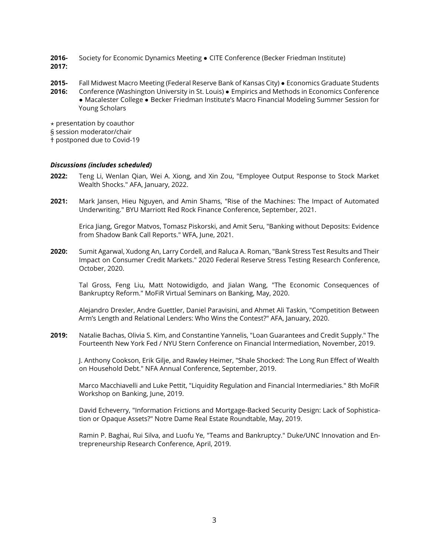- **2016- 2017:** Society for Economic Dynamics Meeting • CITE Conference (Becker Friedman Institute)
- **2015-** Fall Midwest Macro Meeting (Federal Reserve Bank of Kansas City) • Economics Graduate Students
- **2016:** Conference (Washington University in St. Louis) • Empirics and Methods in Economics Conference • Macalester College • Becker Friedman Institute's Macro Financial Modeling Summer Session for Young Scholars

 $\star$  presentation by coauthor

§ session moderator/chair

† postponed due to Covid-19

#### *Discussions (includes scheduled)*

- **2022:** Teng Li, Wenlan Qian, Wei A. Xiong, and Xin Zou, "Employee Output Response to Stock Market Wealth Shocks." AFA, January, 2022.
- **2021:** Mark Jansen, Hieu Nguyen, and Amin Shams, "Rise of the Machines: The Impact of Automated Underwriting." BYU Marriott Red Rock Finance Conference, September, 2021.

Erica Jiang, Gregor Matvos, Tomasz Piskorski, and Amit Seru, "Banking without Deposits: Evidence from Shadow Bank Call Reports." WFA, June, 2021.

**2020:** Sumit Agarwal, Xudong An, Larry Cordell, and Raluca A. Roman, "Bank Stress Test Results and Their Impact on Consumer Credit Markets." 2020 Federal Reserve Stress Testing Research Conference, October, 2020.

Tal Gross, Feng Liu, Matt Notowidigdo, and Jialan Wang, "The Economic Consequences of Bankruptcy Reform." MoFiR Virtual Seminars on Banking, May, 2020.

Alejandro Drexler, Andre Guettler, Daniel Paravisini, and Ahmet Ali Taskin, "Competition Between Arm's Length and Relational Lenders: Who Wins the Contest?" AFA, January, 2020.

**2019:** Natalie Bachas, Olivia S. Kim, and Constantine Yannelis, "Loan Guarantees and Credit Supply." The Fourteenth New York Fed / NYU Stern Conference on Financial Intermediation, November, 2019.

J. Anthony Cookson, Erik Gilje, and Rawley Heimer, "Shale Shocked: The Long Run Effect of Wealth on Household Debt." NFA Annual Conference, September, 2019.

Marco Macchiavelli and Luke Pettit, "Liquidity Regulation and Financial Intermediaries." 8th MoFiR Workshop on Banking, June, 2019.

David Echeverry, "Information Frictions and Mortgage-Backed Security Design: Lack of Sophistication or Opaque Assets?" Notre Dame Real Estate Roundtable, May, 2019.

Ramin P. Baghai, Rui Silva, and Luofu Ye, "Teams and Bankruptcy." Duke/UNC Innovation and Entrepreneurship Research Conference, April, 2019.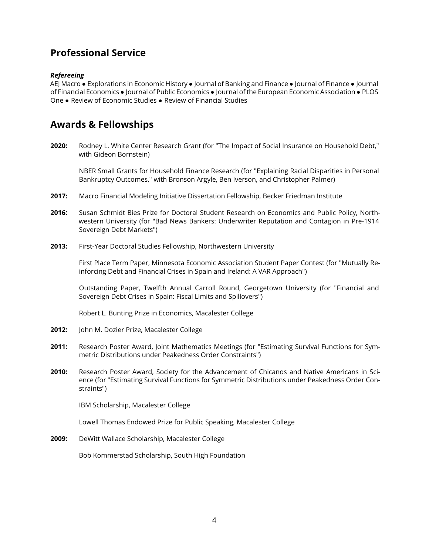# **Professional Service**

#### *Refereeing*

AEJ Macro • Explorations in Economic History • Journal of Banking and Finance • Journal of Finance • Journal of Financial Economics • Journal of Public Economics • Journal of the European Economic Association • PLOS One • Review of Economic Studies • Review of Financial Studies

# **Awards & Fellowships**

**2020:** Rodney L. White Center Research Grant (for "The Impact of Social Insurance on Household Debt," with Gideon Bornstein)

NBER Small Grants for Household Finance Research (for "Explaining Racial Disparities in Personal Bankruptcy Outcomes," with Bronson Argyle, Ben Iverson, and Christopher Palmer)

- **2017:** Macro Financial Modeling Initiative Dissertation Fellowship, Becker Friedman Institute
- **2016:** Susan Schmidt Bies Prize for Doctoral Student Research on Economics and Public Policy, Northwestern University (for "Bad News Bankers: Underwriter Reputation and Contagion in Pre-1914 Sovereign Debt Markets")
- **2013:** First-Year Doctoral Studies Fellowship, Northwestern University

First Place Term Paper, Minnesota Economic Association Student Paper Contest (for "Mutually Reinforcing Debt and Financial Crises in Spain and Ireland: A VAR Approach")

Outstanding Paper, Twelfth Annual Carroll Round, Georgetown University (for "Financial and Sovereign Debt Crises in Spain: Fiscal Limits and Spillovers")

Robert L. Bunting Prize in Economics, Macalester College

- **2012:** John M. Dozier Prize, Macalester College
- **2011:** Research Poster Award, Joint Mathematics Meetings (for "Estimating Survival Functions for Symmetric Distributions under Peakedness Order Constraints")
- **2010:** Research Poster Award, Society for the Advancement of Chicanos and Native Americans in Science (for "Estimating Survival Functions for Symmetric Distributions under Peakedness Order Constraints")

IBM Scholarship, Macalester College

Lowell Thomas Endowed Prize for Public Speaking, Macalester College

**2009:** DeWitt Wallace Scholarship, Macalester College

Bob Kommerstad Scholarship, South High Foundation